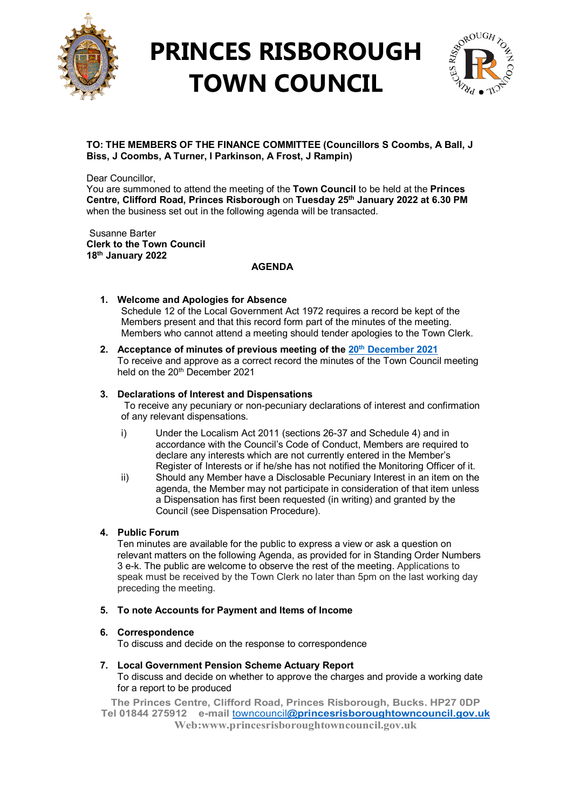

## **PRINCES RISBOROUGH TOWN COUNCIL**



### **TO: THE MEMBERS OF THE FINANCE COMMITTEE (Councillors S Coombs, A Ball, J Biss, J Coombs, A Turner, I Parkinson, A Frost, J Rampin)**

Dear Councillor,

You are summoned to attend the meeting of the **Town Council** to be held at the **Princes Centre, Clifford Road, Princes Risborough** on **Tuesday 25th January 2022 at 6.30 PM**  when the business set out in the following agenda will be transacted.

Susanne Barter **Clerk to the Town Council 18th January 2022**

### **AGENDA**

- **1. Welcome and Apologies for Absence** Schedule 12 of the Local Government Act 1972 requires a record be kept of the Members present and that this record form part of the minutes of the meeting. Members who cannot attend a meeting should tender apologies to the Town Clerk.
- **2. Acceptance of minutes of previous meeting of the 20th [December](http://www.princesrisboroughtowncouncil.gov.uk/_UserFiles/Files/_Minutes/136487-Finance__mins__Dec_20th_2021.pdf) 2021** To receive and approve as a correct record the minutes of the Town Council meeting held on the 20<sup>th</sup> December 2021

### **3. Declarations of Interest and Dispensations**

To receive any pecuniary or non-pecuniary declarations of interest and confirmation of any relevant dispensations.

- i) Under the Localism Act 2011 (sections 26-37 and Schedule 4) and in accordance with the Council's Code of Conduct, Members are required to declare any interests which are not currently entered in the Member's Register of Interests or if he/she has not notified the Monitoring Officer of it.
- ii) Should any Member have a Disclosable Pecuniary Interest in an item on the agenda, the Member may not participate in consideration of that item unless a Dispensation has first been requested (in writing) and granted by the Council (see Dispensation Procedure).

### **4. Public Forum**

Ten minutes are available for the public to express a view or ask a question on relevant matters on the following Agenda, as provided for in Standing Order Numbers 3 e-k. The public are welcome to observe the rest of the meeting. Applications to speak must be received by the Town Clerk no later than 5pm on the last working day preceding the meeting.

### **5. To note Accounts for Payment and Items of Income**

### **6. Correspondence**

To discuss and decide on the response to correspondence

**7. Local Government Pension Scheme Actuary Report** To discuss and decide on whether to approve the charges and provide a working date for a report to be produced

**The Princes Centre, Clifford Road, Princes Risborough, Bucks. HP27 0DP Tel 01844 275912 e-mail** towncouncil**[@princesrisboroughtowncouncil.gov.uk](mailto:towncouncil@princesrisboroughtowncouncil.gov.uk) Web:www.princesrisboroughtowncouncil.gov.uk**